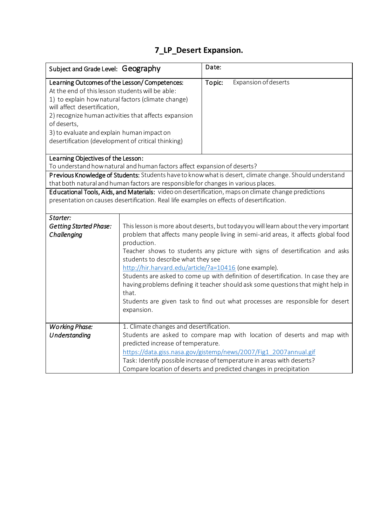## **7\_LP\_Desert Expansion.**

| Subject and Grade Level: Geography                                                                                                                                                                                                                  |                                                                                                            | Date:                                                                                |  |
|-----------------------------------------------------------------------------------------------------------------------------------------------------------------------------------------------------------------------------------------------------|------------------------------------------------------------------------------------------------------------|--------------------------------------------------------------------------------------|--|
| Learning Outcomes of the Lesson/Competences:<br>At the end of this lesson students will be able:<br>will affect desertification,<br>of deserts,<br>3) to evaluate and explain human impact on<br>desertification (development of critical thinking) | 1) to explain how natural factors (climate change)<br>2) recognize human activities that affects expansion | Topic:<br>Expansion of deserts                                                       |  |
| Learning Objectives of the Lesson:<br>To understand how natural and human factors affect expansion of deserts?                                                                                                                                      |                                                                                                            |                                                                                      |  |
| Previous Knowledge of Students: Students have to know what is desert, climate change. Should understand                                                                                                                                             |                                                                                                            |                                                                                      |  |
| that both natural and human factors are responsible for changes in various places.                                                                                                                                                                  |                                                                                                            |                                                                                      |  |
| Educational Tools, Aids, and Materials: video on desertification, maps on climate change predictions                                                                                                                                                |                                                                                                            |                                                                                      |  |
| presentation on causes desertification. Real life examples on effects of desertification.                                                                                                                                                           |                                                                                                            |                                                                                      |  |
| Starter:                                                                                                                                                                                                                                            |                                                                                                            |                                                                                      |  |
| <b>Getting Started Phase:</b>                                                                                                                                                                                                                       |                                                                                                            | This lesson is more about deserts, but today you will learn about the very important |  |
| Challenging                                                                                                                                                                                                                                         |                                                                                                            | problem that affects many people living in semi-arid areas, it affects global food   |  |
|                                                                                                                                                                                                                                                     | production.                                                                                                |                                                                                      |  |
|                                                                                                                                                                                                                                                     | students to describe what they see                                                                         | Teacher shows to students any picture with signs of desertification and asks         |  |
|                                                                                                                                                                                                                                                     | http://hir.harvard.edu/article/?a=10416 (one example).                                                     |                                                                                      |  |
|                                                                                                                                                                                                                                                     |                                                                                                            | Students are asked to come up with definition of desertification. In case they are   |  |
|                                                                                                                                                                                                                                                     |                                                                                                            | having problems defining it teacher should ask some questions that might help in     |  |
|                                                                                                                                                                                                                                                     | that.                                                                                                      |                                                                                      |  |
|                                                                                                                                                                                                                                                     |                                                                                                            | Students are given task to find out what processes are responsible for desert        |  |
|                                                                                                                                                                                                                                                     | expansion.                                                                                                 |                                                                                      |  |
| <b>Working Phase:</b>                                                                                                                                                                                                                               | 1. Climate changes and desertification.                                                                    |                                                                                      |  |
| Understanding                                                                                                                                                                                                                                       |                                                                                                            | Students are asked to compare map with location of deserts and map with              |  |
|                                                                                                                                                                                                                                                     | predicted increase of temperature.                                                                         |                                                                                      |  |
|                                                                                                                                                                                                                                                     |                                                                                                            | https://data.giss.nasa.gov/gistemp/news/2007/Fig1_2007annual.gif                     |  |
|                                                                                                                                                                                                                                                     |                                                                                                            | Task: Identify possible increase of temperature in areas with deserts?               |  |
|                                                                                                                                                                                                                                                     |                                                                                                            | Compare location of deserts and predicted changes in precipitation                   |  |